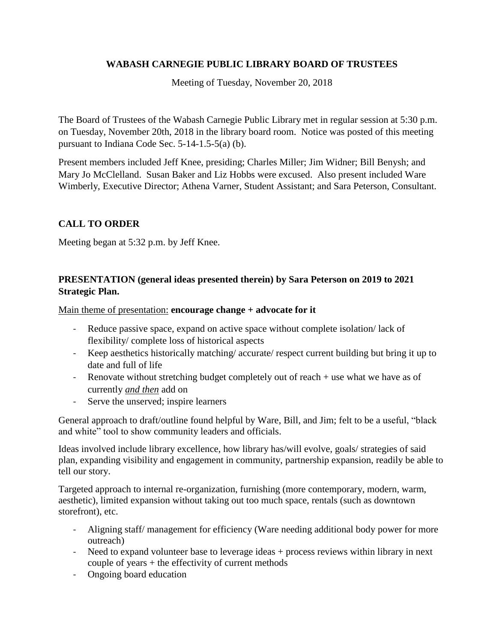## **WABASH CARNEGIE PUBLIC LIBRARY BOARD OF TRUSTEES**

Meeting of Tuesday, November 20, 2018

The Board of Trustees of the Wabash Carnegie Public Library met in regular session at 5:30 p.m. on Tuesday, November 20th, 2018 in the library board room. Notice was posted of this meeting pursuant to Indiana Code Sec. 5-14-1.5-5(a) (b).

Present members included Jeff Knee, presiding; Charles Miller; Jim Widner; Bill Benysh; and Mary Jo McClelland. Susan Baker and Liz Hobbs were excused. Also present included Ware Wimberly, Executive Director; Athena Varner, Student Assistant; and Sara Peterson, Consultant.

# **CALL TO ORDER**

Meeting began at 5:32 p.m. by Jeff Knee.

## **PRESENTATION (general ideas presented therein) by Sara Peterson on 2019 to 2021 Strategic Plan.**

Main theme of presentation: **encourage change + advocate for it**

- Reduce passive space, expand on active space without complete isolation/ lack of flexibility/ complete loss of historical aspects
- Keep aesthetics historically matching/ accurate/ respect current building but bring it up to date and full of life
- Renovate without stretching budget completely out of reach + use what we have as of currently *and then* add on
- Serve the unserved; inspire learners

General approach to draft/outline found helpful by Ware, Bill, and Jim; felt to be a useful, "black and white" tool to show community leaders and officials.

Ideas involved include library excellence, how library has/will evolve, goals/ strategies of said plan, expanding visibility and engagement in community, partnership expansion, readily be able to tell our story.

Targeted approach to internal re-organization, furnishing (more contemporary, modern, warm, aesthetic), limited expansion without taking out too much space, rentals (such as downtown storefront), etc.

- Aligning staff/ management for efficiency (Ware needing additional body power for more outreach)
- Need to expand volunteer base to leverage ideas + process reviews within library in next couple of years + the effectivity of current methods
- Ongoing board education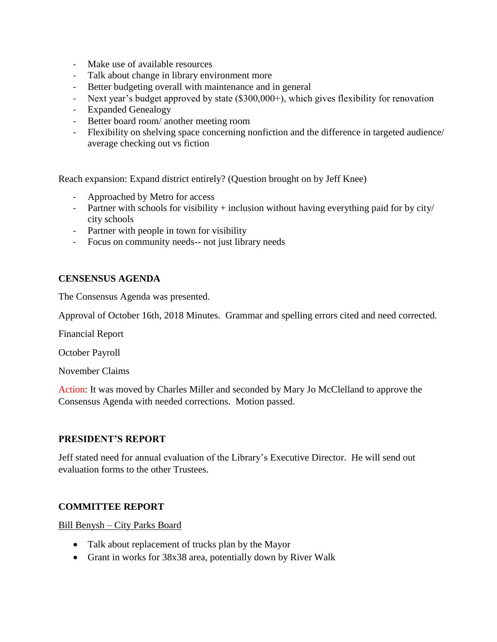- Make use of available resources
- Talk about change in library environment more
- Better budgeting overall with maintenance and in general
- Next year's budget approved by state (\$300,000+), which gives flexibility for renovation
- Expanded Genealogy
- Better board room/ another meeting room
- Flexibility on shelving space concerning nonfiction and the difference in targeted audience/ average checking out vs fiction

Reach expansion: Expand district entirely? (Question brought on by Jeff Knee)

- Approached by Metro for access
- Partner with schools for visibility + inclusion without having everything paid for by city/ city schools
- Partner with people in town for visibility
- Focus on community needs-- not just library needs

### **CENSENSUS AGENDA**

The Consensus Agenda was presented.

Approval of October 16th, 2018 Minutes. Grammar and spelling errors cited and need corrected.

Financial Report

October Payroll

November Claims

Action: It was moved by Charles Miller and seconded by Mary Jo McClelland to approve the Consensus Agenda with needed corrections. Motion passed.

#### **PRESIDENT'S REPORT**

Jeff stated need for annual evaluation of the Library's Executive Director. He will send out evaluation forms to the other Trustees.

## **COMMITTEE REPORT**

Bill Benysh – City Parks Board

- Talk about replacement of trucks plan by the Mayor
- Grant in works for 38x38 area, potentially down by River Walk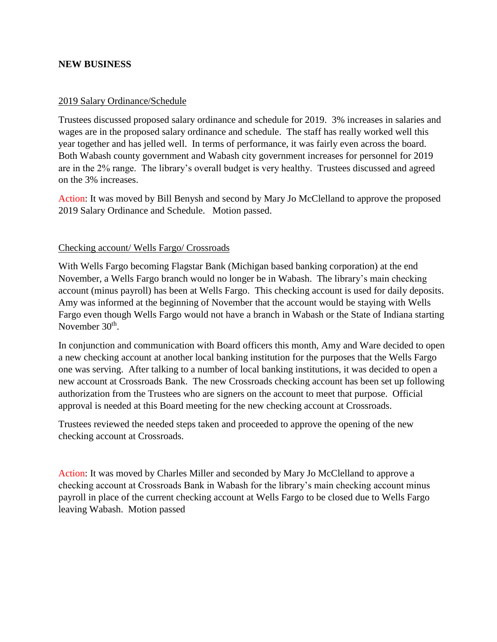### **NEW BUSINESS**

#### 2019 Salary Ordinance/Schedule

Trustees discussed proposed salary ordinance and schedule for 2019. 3% increases in salaries and wages are in the proposed salary ordinance and schedule. The staff has really worked well this year together and has jelled well. In terms of performance, it was fairly even across the board. Both Wabash county government and Wabash city government increases for personnel for 2019 are in the 2% range. The library's overall budget is very healthy. Trustees discussed and agreed on the 3% increases.

Action: It was moved by Bill Benysh and second by Mary Jo McClelland to approve the proposed 2019 Salary Ordinance and Schedule. Motion passed.

#### Checking account/ Wells Fargo/ Crossroads

With Wells Fargo becoming Flagstar Bank (Michigan based banking corporation) at the end November, a Wells Fargo branch would no longer be in Wabash. The library's main checking account (minus payroll) has been at Wells Fargo. This checking account is used for daily deposits. Amy was informed at the beginning of November that the account would be staying with Wells Fargo even though Wells Fargo would not have a branch in Wabash or the State of Indiana starting November 30<sup>th</sup>.

In conjunction and communication with Board officers this month, Amy and Ware decided to open a new checking account at another local banking institution for the purposes that the Wells Fargo one was serving. After talking to a number of local banking institutions, it was decided to open a new account at Crossroads Bank. The new Crossroads checking account has been set up following authorization from the Trustees who are signers on the account to meet that purpose. Official approval is needed at this Board meeting for the new checking account at Crossroads.

Trustees reviewed the needed steps taken and proceeded to approve the opening of the new checking account at Crossroads.

Action: It was moved by Charles Miller and seconded by Mary Jo McClelland to approve a checking account at Crossroads Bank in Wabash for the library's main checking account minus payroll in place of the current checking account at Wells Fargo to be closed due to Wells Fargo leaving Wabash. Motion passed